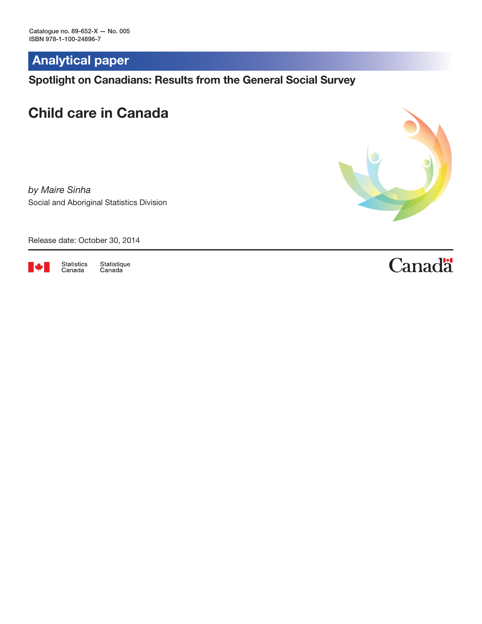Analytical paper

Spotlight on Canadians: Results from the General Social Survey

# Child care in Canada

*by Maire Sinha* Social and Aboriginal Statistics Division



Release date: October 30, 2014



Statistics<br>Canada Statistique<br>Canada **Canadä**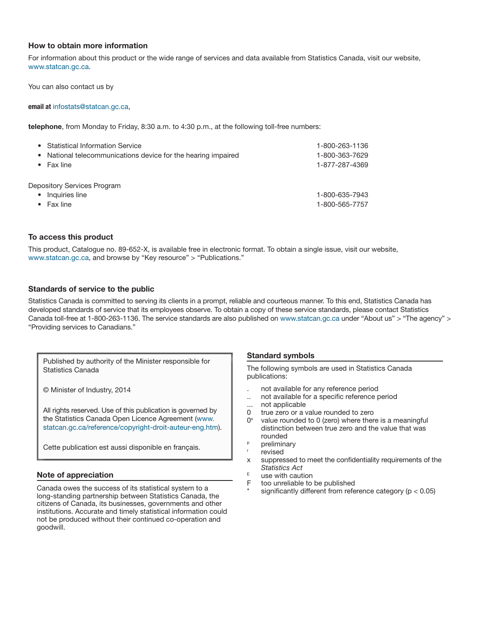#### How to obtain more information

For information about this product or the wide range of services and data available from Statistics Canada, visit our website, [www.statcan.gc.ca.](http://www.statcan.gc.ca)

You can also contact us by

email at infostats@statcan.gc.ca,

telephone, from Monday to Friday, 8:30 a.m. to 4:30 p.m., at the following toll-free numbers:

| • Statistical Information Service                                   | 1-800-263-1136                   |
|---------------------------------------------------------------------|----------------------------------|
| • National telecommunications device for the hearing impaired       | 1-800-363-7629                   |
| $\bullet$ Fax line                                                  | 1-877-287-4369                   |
| Depository Services Program<br>Inquiries line<br>$\bullet$ Fax line | 1-800-635-7943<br>1-800-565-7757 |

#### To access this product

This product, Catalogue no. 89-652-X, is available free in electronic format. To obtain a single issue, visit our website, [www.statcan.gc.ca,](http://www.statcan.gc.ca) and browse by "Key resource" > "Publications."

#### Standards of service to the public

Statistics Canada is committed to serving its clients in a prompt, reliable and courteous manner. To this end, Statistics Canada has developed standards of service that its employees observe. To obtain a copy of these service standards, please contact Statistics Canada toll-free at 1-800-263-1136. The service standards are also published on [www.statcan.gc.ca](http://www.statcan.gc.ca) under "About us" > "The agency" > "Providing services to Canadians."

Published by authority of the Minister responsible for Statistics Canada

© Minister of Industry, 2014

All rights reserved. Use of this publication is governed by the Statistics Canada Open Licence Agreement ([www.](http://www.statcan.gc.ca/reference/copyright-droit-auteur-eng.htm) [statcan.gc.ca/reference/copyright-droit-auteur-eng.htm](http://www.statcan.gc.ca/reference/copyright-droit-auteur-eng.htm)).

Cette publication est aussi disponible en français.

#### Note of appreciation

Canada owes the success of its statistical system to a long-standing partnership between Statistics Canada, the citizens of Canada, its businesses, governments and other institutions. Accurate and timely statistical information could not be produced without their continued co-operation and goodwill.

#### Standard symbols

The following symbols are used in Statistics Canada publications:

- . not available for any reference period
- .. not available for a specific reference period
- ... not applicable<br>0 true zero or a
- true zero or a value rounded to zero
- $0<sup>s</sup>$  value rounded to 0 (zero) where there is a meaningful distinction between true zero and the value that was rounded
- <sup>p</sup> preliminary
- revised
- x suppressed to meet the confidentiality requirements of the *Statistics Act*
- $E$  use with caution<br>E too unreliable to
- too unreliable to be published
- significantly different from reference category ( $p < 0.05$ )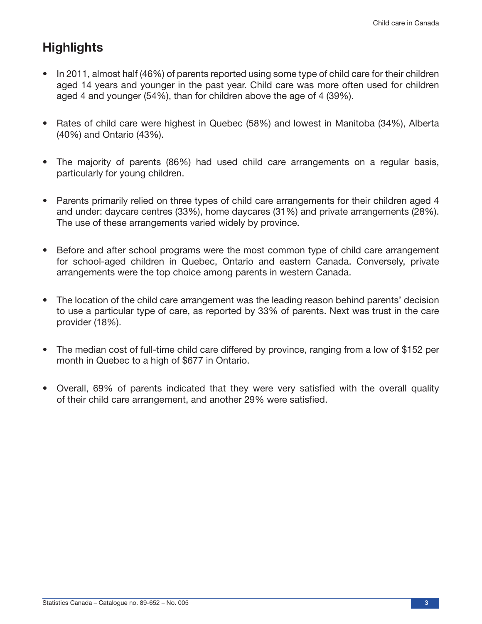# **Highlights**

- In 2011, almost half (46%) of parents reported using some type of child care for their children aged 14 years and younger in the past year. Child care was more often used for children aged 4 and younger (54%), than for children above the age of 4 (39%).
- Rates of child care were highest in Quebec (58%) and lowest in Manitoba (34%), Alberta (40%) and Ontario (43%).
- The majority of parents (86%) had used child care arrangements on a regular basis, particularly for young children.
- Parents primarily relied on three types of child care arrangements for their children aged 4 and under: daycare centres (33%), home daycares (31%) and private arrangements (28%). The use of these arrangements varied widely by province.
- Before and after school programs were the most common type of child care arrangement for school-aged children in Quebec, Ontario and eastern Canada. Conversely, private arrangements were the top choice among parents in western Canada.
- The location of the child care arrangement was the leading reason behind parents' decision to use a particular type of care, as reported by 33% of parents. Next was trust in the care provider (18%).
- The median cost of full-time child care differed by province, ranging from a low of \$152 per month in Quebec to a high of \$677 in Ontario.
- Overall, 69% of parents indicated that they were very satisfied with the overall quality of their child care arrangement, and another 29% were satisfied.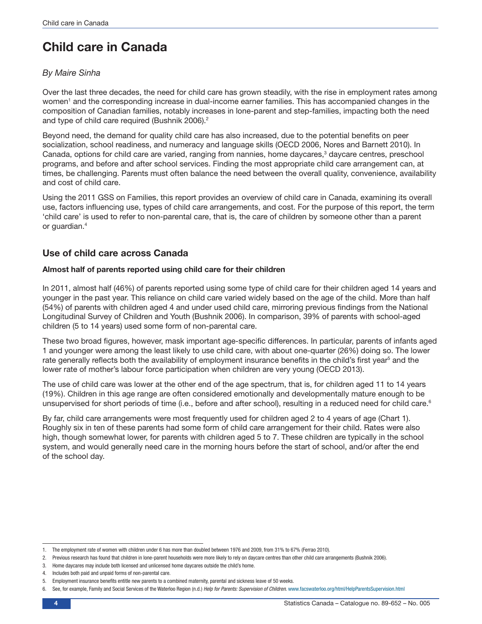# Child care in Canada

# *By Maire Sinha*

Over the last three decades, the need for child care has grown steadily, with the rise in employment rates among women<sup>1</sup> and the corresponding increase in dual-income earner families. This has accompanied changes in the composition of Canadian families, notably increases in lone-parent and step-families, impacting both the need and type of child care required (Bushnik 2006).<sup>2</sup>

Beyond need, the demand for quality child care has also increased, due to the potential benefits on peer socialization, school readiness, and numeracy and language skills (OECD 2006, Nores and Barnett 2010). In Canada, options for child care are varied, ranging from nannies, home daycares,<sup>3</sup> daycare centres, preschool programs, and before and after school services. Finding the most appropriate child care arrangement can, at times, be challenging. Parents must often balance the need between the overall quality, convenience, availability and cost of child care.

Using the 2011 GSS on Families, this report provides an overview of child care in Canada, examining its overall use, factors influencing use, types of child care arrangements, and cost. For the purpose of this report, the term 'child care' is used to refer to non-parental care, that is, the care of children by someone other than a parent or guardian.4

# Use of child care across Canada

## Almost half of parents reported using child care for their children

In 2011, almost half (46%) of parents reported using some type of child care for their children aged 14 years and younger in the past year. This reliance on child care varied widely based on the age of the child. More than half (54%) of parents with children aged 4 and under used child care, mirroring previous findings from the National Longitudinal Survey of Children and Youth (Bushnik 2006). In comparison, 39% of parents with school-aged children (5 to 14 years) used some form of non-parental care.

These two broad figures, however, mask important age-specific differences. In particular, parents of infants aged 1 and younger were among the least likely to use child care, with about one-quarter (26%) doing so. The lower rate generally reflects both the availability of employment insurance benefits in the child's first year<sup>5</sup> and the lower rate of mother's labour force participation when children are very young (OECD 2013).

The use of child care was lower at the other end of the age spectrum, that is, for children aged 11 to 14 years (19%). Children in this age range are often considered emotionally and developmentally mature enough to be unsupervised for short periods of time (i.e., before and after school), resulting in a reduced need for child care.<sup>6</sup>

By far, child care arrangements were most frequently used for children aged 2 to 4 years of age (Chart 1). Roughly six in ten of these parents had some form of child care arrangement for their child. Rates were also high, though somewhat lower, for parents with children aged 5 to 7. These children are typically in the school system, and would generally need care in the morning hours before the start of school, and/or after the end of the school day.

<sup>1.</sup> The employment rate of women with children under 6 has more than doubled between 1976 and 2009, from 31% to 67% (Ferrao 2010).

<sup>2.</sup> Previous research has found that children in lone-parent households were more likely to rely on daycare centres than other child care arrangements (Bushnik 2006).

<sup>3.</sup> Home daycares may include both licensed and unlicensed home daycares outside the child's home.

<sup>4.</sup> Includes both paid and unpaid forms of non-parental care.

<sup>5.</sup> Employment insurance benefits entitle new parents to a combined maternity, parental and sickness leave of 50 weeks.

<sup>6.</sup> See, for example, Family and Social Services of the Waterloo Region (n.d.) *Help for Parents: Supervision of Children*. [www.facswaterloo.org/html/HelpParentsSupervision.html](http://www.facswaterloo.org/html/HelpParentsSupervision.html)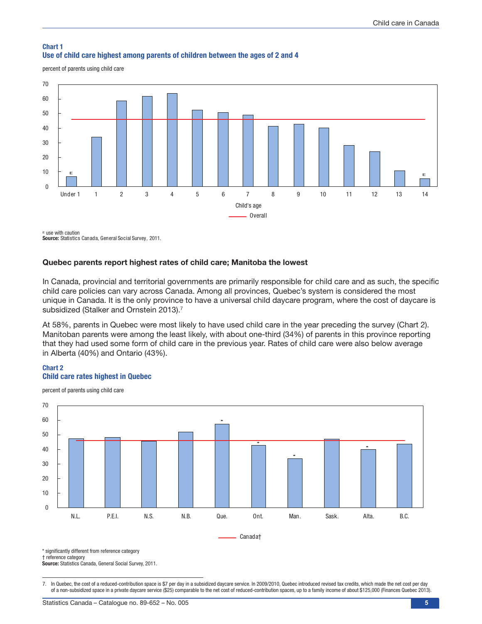#### Chart 1 Use of child care highest among parents of children between the ages of 2 and 4

percent of parents using child care



Source: Statistics Canada, General Social Survey, 2011. use with caution

## Quebec parents report highest rates of child care; Manitoba the lowest

In Canada, provincial and territorial governments are primarily responsible for child care and as such, the specific child care policies can vary across Canada. Among all provinces, Quebec's system is considered the most unique in Canada. It is the only province to have a universal child daycare program, where the cost of daycare is subsidized (Stalker and Ornstein 2013).<sup>7</sup>

At 58%, parents in Quebec were most likely to have used child care in the year preceding the survey (Chart 2). Manitoban parents were among the least likely, with about one-third (34%) of parents in this province reporting that they had used some form of child care in the previous year. Rates of child care were also below average in Alberta (40%) and Ontario (43%).

#### Chart 2 Child care rates highest in Quebec

percent of parents using child care



\* significantly different from reference category

† reference category

Source: Statistics Canada, General Social Survey, 2011.

7. In Quebec, the cost of a reduced-contribution space is \$7 per day in a subsidized daycare service. In 2009/2010, Quebec introduced revised tax credits, which made the net cost per day of a non-subsidized space in a private daycare service (\$25) comparable to the net cost of reduced-contribution spaces, up to a family income of about \$125,000 (Finances Quebec 2013).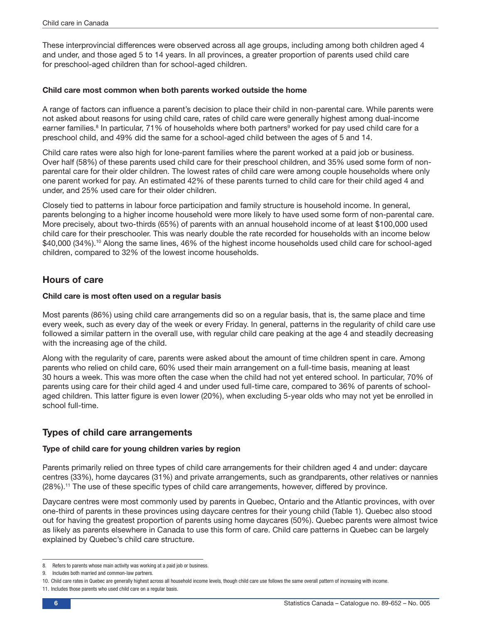These interprovincial differences were observed across all age groups, including among both children aged 4 and under, and those aged 5 to 14 years. In all provinces, a greater proportion of parents used child care for preschool-aged children than for school-aged children.

## Child care most common when both parents worked outside the home

A range of factors can influence a parent's decision to place their child in non-parental care. While parents were not asked about reasons for using child care, rates of child care were generally highest among dual-income earner families.<sup>8</sup> In particular, 71% of households where both partners<sup>9</sup> worked for pay used child care for a preschool child, and 49% did the same for a school-aged child between the ages of 5 and 14.

Child care rates were also high for lone-parent families where the parent worked at a paid job or business. Over half (58%) of these parents used child care for their preschool children, and 35% used some form of nonparental care for their older children. The lowest rates of child care were among couple households where only one parent worked for pay. An estimated 42% of these parents turned to child care for their child aged 4 and under, and 25% used care for their older children.

Closely tied to patterns in labour force participation and family structure is household income. In general, parents belonging to a higher income household were more likely to have used some form of non-parental care. More precisely, about two-thirds (65%) of parents with an annual household income of at least \$100,000 used child care for their preschooler. This was nearly double the rate recorded for households with an income below \$40,000 (34%).<sup>10</sup> Along the same lines, 46% of the highest income households used child care for school-aged children, compared to 32% of the lowest income households.

# Hours of care

## Child care is most often used on a regular basis

Most parents (86%) using child care arrangements did so on a regular basis, that is, the same place and time every week, such as every day of the week or every Friday. In general, patterns in the regularity of child care use followed a similar pattern in the overall use, with regular child care peaking at the age 4 and steadily decreasing with the increasing age of the child.

Along with the regularity of care, parents were asked about the amount of time children spent in care. Among parents who relied on child care, 60% used their main arrangement on a full-time basis, meaning at least 30 hours a week. This was more often the case when the child had not yet entered school. In particular, 70% of parents using care for their child aged 4 and under used full-time care, compared to 36% of parents of schoolaged children. This latter figure is even lower (20%), when excluding 5-year olds who may not yet be enrolled in school full-time.

# Types of child care arrangements

## Type of child care for young children varies by region

Parents primarily relied on three types of child care arrangements for their children aged 4 and under: daycare centres (33%), home daycares (31%) and private arrangements, such as grandparents, other relatives or nannies (28%).11 The use of these specific types of child care arrangements, however, differed by province.

Daycare centres were most commonly used by parents in Quebec, Ontario and the Atlantic provinces, with over one-third of parents in these provinces using daycare centres for their young child (Table 1). Quebec also stood out for having the greatest proportion of parents using home daycares (50%). Quebec parents were almost twice as likely as parents elsewhere in Canada to use this form of care. Child care patterns in Quebec can be largely explained by Quebec's child care structure.

<sup>8.</sup> Refers to parents whose main activity was working at a paid job or business.

<sup>9.</sup> Includes both married and common-law partners.

<sup>10.</sup> Child care rates in Quebec are generally highest across all household income levels, though child care use follows the same overall pattern of increasing with income.

<sup>11.</sup> Includes those parents who used child care on a regular basis.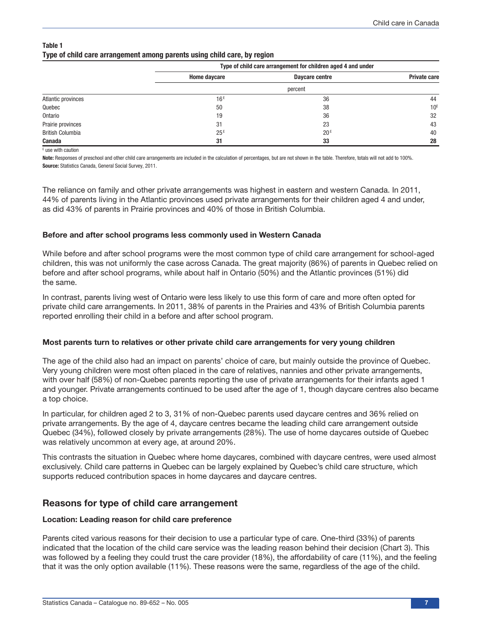| Table 1 |                                                                          |  |  |
|---------|--------------------------------------------------------------------------|--|--|
|         | Type of child care arrangement among parents using child care, by region |  |  |

|                         |                 | Type of child care arrangement for children aged 4 and under |                     |  |
|-------------------------|-----------------|--------------------------------------------------------------|---------------------|--|
|                         | Home daycare    | Daycare centre                                               | <b>Private care</b> |  |
|                         |                 | percent                                                      |                     |  |
| Atlantic provinces      | 16 <sup>E</sup> | 36                                                           | 44                  |  |
| Quebec                  | 50              | 38                                                           | 10 <sup>E</sup>     |  |
| Ontario                 | 19              | 36                                                           | 32                  |  |
| Prairie provinces       | 31              | 23                                                           | 43                  |  |
| <b>British Columbia</b> | 25E             | 20 <sup>E</sup>                                              | 40                  |  |
| Canada                  | 31              | 33                                                           | 28                  |  |

E use with caution

Note: Responses of preschool and other child care arrangements are included in the calculation of percentages, but are not shown in the table. Therefore, totals will not add to 100%. Source: Statistics Canada, General Social Survey, 2011.

The reliance on family and other private arrangements was highest in eastern and western Canada. In 2011, 44% of parents living in the Atlantic provinces used private arrangements for their children aged 4 and under, as did 43% of parents in Prairie provinces and 40% of those in British Columbia.

## Before and after school programs less commonly used in Western Canada

While before and after school programs were the most common type of child care arrangement for school-aged children, this was not uniformly the case across Canada. The great majority (86%) of parents in Quebec relied on before and after school programs, while about half in Ontario (50%) and the Atlantic provinces (51%) did the same.

In contrast, parents living west of Ontario were less likely to use this form of care and more often opted for private child care arrangements. In 2011, 38% of parents in the Prairies and 43% of British Columbia parents reported enrolling their child in a before and after school program.

## Most parents turn to relatives or other private child care arrangements for very young children

The age of the child also had an impact on parents' choice of care, but mainly outside the province of Quebec. Very young children were most often placed in the care of relatives, nannies and other private arrangements, with over half (58%) of non-Quebec parents reporting the use of private arrangements for their infants aged 1 and younger. Private arrangements continued to be used after the age of 1, though daycare centres also became a top choice.

In particular, for children aged 2 to 3, 31% of non-Quebec parents used daycare centres and 36% relied on private arrangements. By the age of 4, daycare centres became the leading child care arrangement outside Quebec (34%), followed closely by private arrangements (28%). The use of home daycares outside of Quebec was relatively uncommon at every age, at around 20%.

This contrasts the situation in Quebec where home daycares, combined with daycare centres, were used almost exclusively. Child care patterns in Quebec can be largely explained by Quebec's child care structure, which supports reduced contribution spaces in home daycares and daycare centres.

# Reasons for type of child care arrangement

## Location: Leading reason for child care preference

Parents cited various reasons for their decision to use a particular type of care. One-third (33%) of parents indicated that the location of the child care service was the leading reason behind their decision (Chart 3). This was followed by a feeling they could trust the care provider (18%), the affordability of care (11%), and the feeling that it was the only option available (11%). These reasons were the same, regardless of the age of the child.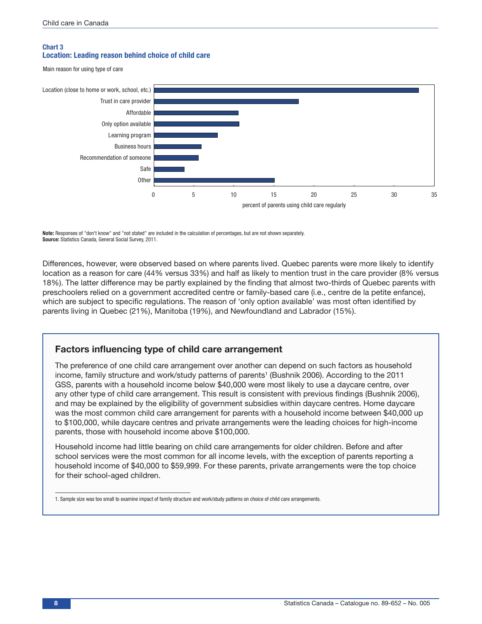### Chart 3 Location: Leading reason behind choice of child care

Main reason for using type of care



Note: Responses of "don't know" and "not stated" are included in the calculation of percentages, but are not shown separately. Source: Statistics Canada, General Social Survey, 2011.

Differences, however, were observed based on where parents lived. Quebec parents were more likely to identify location as a reason for care (44% versus 33%) and half as likely to mention trust in the care provider (8% versus 18%). The latter difference may be partly explained by the finding that almost two-thirds of Quebec parents with preschoolers relied on a government accredited centre or family-based care (i.e., centre de la petite enfance), which are subject to specific regulations. The reason of 'only option available' was most often identified by parents living in Quebec (21%), Manitoba (19%), and Newfoundland and Labrador (15%).

# Factors influencing type of child care arrangement

The preference of one child care arrangement over another can depend on such factors as household income, family structure and work/study patterns of parents<sup>1</sup> (Bushnik 2006). According to the 2011 GSS, parents with a household income below \$40,000 were most likely to use a daycare centre, over any other type of child care arrangement. This result is consistent with previous findings (Bushnik 2006), and may be explained by the eligibility of government subsidies within daycare centres. Home daycare was the most common child care arrangement for parents with a household income between \$40,000 up to \$100,000, while daycare centres and private arrangements were the leading choices for high-income parents, those with household income above \$100,000.

Household income had little bearing on child care arrangements for older children. Before and after school services were the most common for all income levels, with the exception of parents reporting a household income of \$40,000 to \$59,999. For these parents, private arrangements were the top choice for their school-aged children.

<sup>1.</sup> Sample size was too small to examine impact of family structure and work/study patterns on choice of child care arrangements.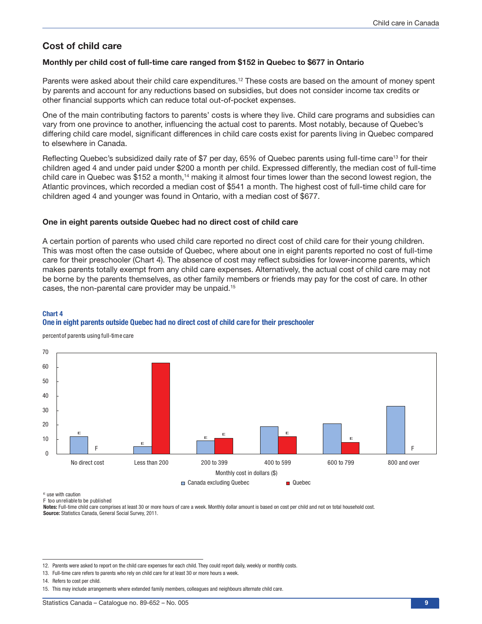# Cost of child care

#### Monthly per child cost of full-time care ranged from \$152 in Quebec to \$677 in Ontario

Parents were asked about their child care expenditures.<sup>12</sup> These costs are based on the amount of money spent by parents and account for any reductions based on subsidies, but does not consider income tax credits or other financial supports which can reduce total out-of-pocket expenses.

One of the main contributing factors to parents' costs is where they live. Child care programs and subsidies can vary from one province to another, influencing the actual cost to parents. Most notably, because of Quebec's differing child care model, significant differences in child care costs exist for parents living in Quebec compared to elsewhere in Canada.

Reflecting Quebec's subsidized daily rate of \$7 per day, 65% of Quebec parents using full-time care<sup>13</sup> for their children aged 4 and under paid under \$200 a month per child. Expressed differently, the median cost of full-time child care in Quebec was \$152 a month,<sup>14</sup> making it almost four times lower than the second lowest region, the Atlantic provinces, which recorded a median cost of \$541 a month. The highest cost of full-time child care for children aged 4 and younger was found in Ontario, with a median cost of \$677.

#### One in eight parents outside Quebec had no direct cost of child care

A certain portion of parents who used child care reported no direct cost of child care for their young children. This was most often the case outside of Quebec, where about one in eight parents reported no cost of full-time care for their preschooler (Chart 4). The absence of cost may reflect subsidies for lower-income parents, which makes parents totally exempt from any child care expenses. Alternatively, the actual cost of child care may not be borne by the parents themselves, as other family members or friends may pay for the cost of care. In other cases, the non-parental care provider may be unpaid.15

## Chart 4 One in eight parents outside Quebec had no direct cost of child care for their preschooler

percentof parents using full-time care



 $\mathbf{\epsilon}$  use with caution

F too unreliable to be published

Notes: Full-time child care comprises at least 30 or more hours of care a week. Monthly dollar amount is based on cost per child and not on total household cost. Source: Statistics Canada, General Social Survey, 2011.

12. Parents were asked to report on the child care expenses for each child. They could report daily, weekly or monthly costs.

<sup>13.</sup> Full-time care refers to parents who rely on child care for at least 30 or more hours a week.

<sup>14.</sup> Refers to cost per child.

<sup>15.</sup> This may include arrangements where extended family members, colleagues and neighbours alternate child care.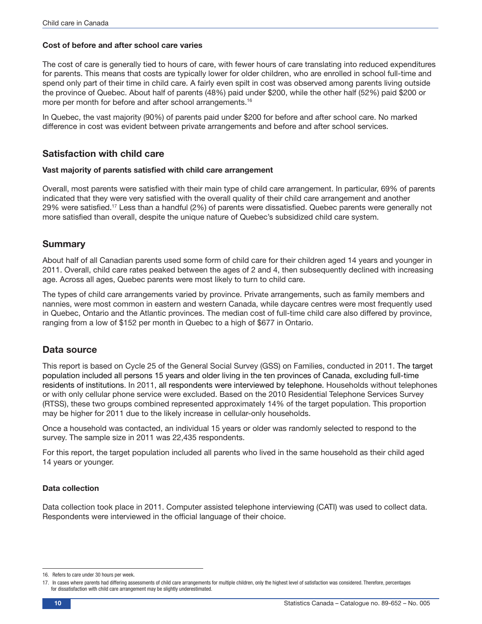## Cost of before and after school care varies

The cost of care is generally tied to hours of care, with fewer hours of care translating into reduced expenditures for parents. This means that costs are typically lower for older children, who are enrolled in school full-time and spend only part of their time in child care. A fairly even spilt in cost was observed among parents living outside the province of Quebec. About half of parents (48%) paid under \$200, while the other half (52%) paid \$200 or more per month for before and after school arrangements.<sup>16</sup>

In Quebec, the vast majority (90%) of parents paid under \$200 for before and after school care. No marked difference in cost was evident between private arrangements and before and after school services.

# Satisfaction with child care

#### Vast majority of parents satisfied with child care arrangement

Overall, most parents were satisfied with their main type of child care arrangement. In particular, 69% of parents indicated that they were very satisfied with the overall quality of their child care arrangement and another 29% were satisfied.17 Less than a handful (2%) of parents were dissatisfied. Quebec parents were generally not more satisfied than overall, despite the unique nature of Quebec's subsidized child care system.

## Summary

About half of all Canadian parents used some form of child care for their children aged 14 years and younger in 2011. Overall, child care rates peaked between the ages of 2 and 4, then subsequently declined with increasing age. Across all ages, Quebec parents were most likely to turn to child care.

The types of child care arrangements varied by province. Private arrangements, such as family members and nannies, were most common in eastern and western Canada, while daycare centres were most frequently used in Quebec, Ontario and the Atlantic provinces. The median cost of full-time child care also differed by province, ranging from a low of \$152 per month in Quebec to a high of \$677 in Ontario.

# Data source

This report is based on Cycle 25 of the General Social Survey (GSS) on Families, conducted in 2011. The target population included all persons 15 years and older living in the ten provinces of Canada, excluding full-time residents of institutions. In 2011, all respondents were interviewed by telephone. Households without telephones or with only cellular phone service were excluded. Based on the 2010 Residential Telephone Services Survey (RTSS), these two groups combined represented approximately 14% of the target population. This proportion may be higher for 2011 due to the likely increase in cellular-only households.

Once a household was contacted, an individual 15 years or older was randomly selected to respond to the survey. The sample size in 2011 was 22,435 respondents.

For this report, the target population included all parents who lived in the same household as their child aged 14 years or younger.

#### Data collection

Data collection took place in 2011. Computer assisted telephone interviewing (CATI) was used to collect data. Respondents were interviewed in the official language of their choice.

<sup>16.</sup> Refers to care under 30 hours per week.

<sup>17.</sup> In cases where parents had differing assessments of child care arrangements for multiple children, only the highest level of satisfaction was considered. Therefore, percentages for dissatisfaction with child care arrangement may be slightly underestimated.